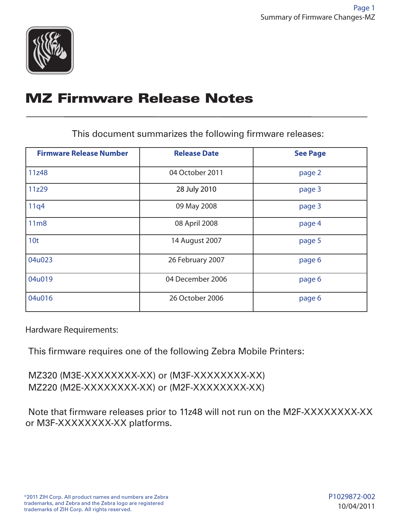

# MZ Firmware Release Notes

This document summarizes the following firmware releases:

| <b>Firmware Release Number</b> | <b>Release Date</b> | <b>See Page</b> |
|--------------------------------|---------------------|-----------------|
| 11z48                          | 04 October 2011     | page 2          |
| 11z29                          | 28 July 2010        | page 3          |
| 11q4                           | 09 May 2008         | page 3          |
| 11m <sub>8</sub>               | 08 April 2008       | page 4          |
| 10 <sub>t</sub>                | 14 August 2007      | page 5          |
| 04u023                         | 26 February 2007    | page 6          |
| 04u019                         | 04 December 2006    | page 6          |
| 04u016                         | 26 October 2006     | page 6          |

Hardware Requirements:

This firmware requires one of the following Zebra Mobile Printers:

MZ320 (M3E-XXXXXXXX-XX) or (M3F-XXXXXXXX-XX) MZ220 (M2E-XXXXXXXX-XX) or (M2F-XXXXXXXX-XX)

Note that firmware releases prior to 11z48 will not run on the M2F-XXXXXXXX-XX or M3F-XXXXXXXX-XX platforms.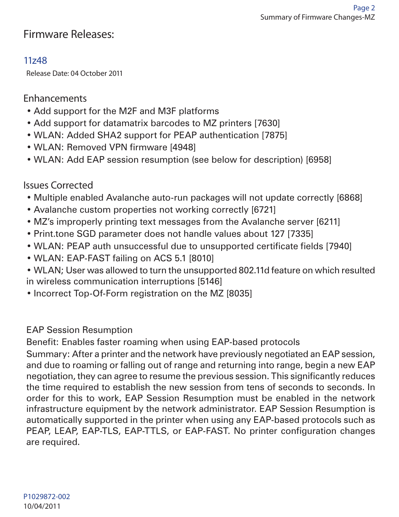# Firmware Releases:

## 11z48

Release Date: 04 October 2011

#### **Enhancements**

- Add support for the M2F and M3F platforms
- Add support for datamatrix barcodes to MZ printers [7630]
- WLAN: Added SHA2 support for PEAP authentication [7875]
- WLAN: Removed VPN firmware [4948]
- WLAN: Add EAP session resumption (see below for description) [6958]

## Issues Corrected

- Multiple enabled Avalanche auto-run packages will not update correctly [6868]
- Avalanche custom properties not working correctly [6721]
- MZ's improperly printing text messages from the Avalanche server [6211]
- Print.tone SGD parameter does not handle values about 127 [7335]
- WLAN: PEAP auth unsuccessful due to unsupported certificate fields [7940]
- WLAN: EAP-FAST failing on ACS 5.1 [8010]
- WLAN; User was allowed to turn the unsupported 802.11d feature on which resulted in wireless communication interruptions [5146]
- Incorrect Top-Of-Form registration on the MZ [8035]

#### EAP Session Resumption

Benefit: Enables faster roaming when using EAP-based protocols

Summary: After a printer and the network have previously negotiated an EAP session, and due to roaming or falling out of range and returning into range, begin a new EAP negotiation, they can agree to resume the previous session. This significantly reduces the time required to establish the new session from tens of seconds to seconds. In order for this to work, EAP Session Resumption must be enabled in the network infrastructure equipment by the network administrator. EAP Session Resumption is automatically supported in the printer when using any EAP-based protocols such as PEAP, LEAP, EAP-TLS, EAP-TTLS, or EAP-FAST. No printer configuration changes are required.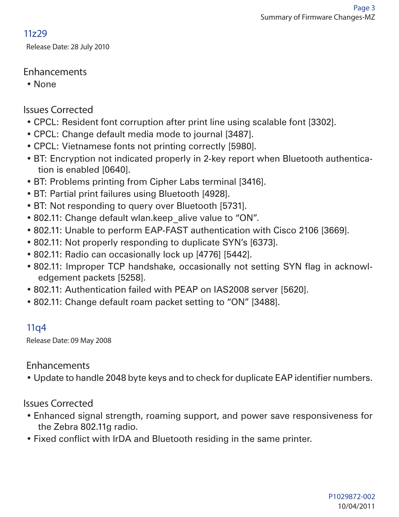# 11z29

Release Date: 28 July 2010

# Enhancements

• None

# Issues Corrected

- CPCL: Resident font corruption after print line using scalable font [3302].
- CPCL: Change default media mode to journal [3487].
- CPCL: Vietnamese fonts not printing correctly [5980].
- BT: Encryption not indicated properly in 2-key report when Bluetooth authentication is enabled [0640].
- BT: Problems printing from Cipher Labs terminal [3416].
- BT: Partial print failures using Bluetooth [4928].
- BT: Not responding to query over Bluetooth [5731].
- 802.11: Change default wlan.keep alive value to "ON".
- 802.11: Unable to perform EAP-FAST authentication with Cisco 2106 [3669].
- 802.11: Not properly responding to duplicate SYN's [6373].
- 802.11: Radio can occasionally lock up [4776] [5442].
- 802.11: Improper TCP handshake, occasionally not setting SYN flag in acknowledgement packets [5258].
- 802.11: Authentication failed with PEAP on IAS2008 server [5620].
- 802.11: Change default roam packet setting to "ON" [3488].

# 11q4

Release Date: 09 May 2008

#### Enhancements

• Update to handle 2048 byte keys and to check for duplicate EAP identifier numbers.

# Issues Corrected

- Enhanced signal strength, roaming support, and power save responsiveness for the Zebra 802.11g radio.
- Fixed conflict with IrDA and Bluetooth residing in the same printer.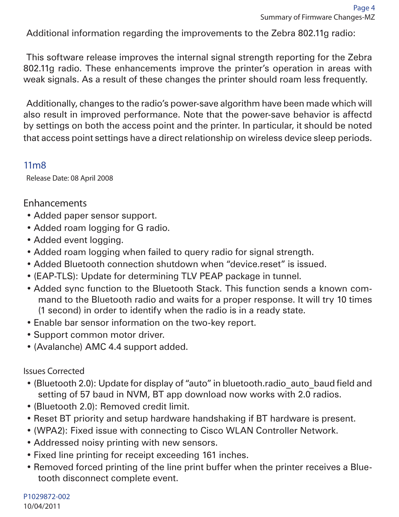Additional information regarding the improvements to the Zebra 802.11g radio:

This software release improves the internal signal strength reporting for the Zebra 802.11g radio. These enhancements improve the printer's operation in areas with weak signals. As a result of these changes the printer should roam less frequently.

Additionally, changes to the radio's power-save algorithm have been made which will also result in improved performance. Note that the power-save behavior is affectd by settings on both the access point and the printer. In particular, it should be noted that access point settings have a direct relationship on wireless device sleep periods.

#### 11m8

Release Date: 08 April 2008

# Enhancements

- Added paper sensor support.
- Added roam logging for G radio.
- Added event logging.
- Added roam logging when failed to query radio for signal strength.
- Added Bluetooth connection shutdown when "device.reset" is issued.
- (EAP-TLS): Update for determining TLV PEAP package in tunnel.
- Added sync function to the Bluetooth Stack. This function sends a known command to the Bluetooth radio and waits for a proper response. It will try 10 times (1 second) in order to identify when the radio is in a ready state.
- Enable bar sensor information on the two-key report.
- Support common motor driver.
- (Avalanche) AMC 4.4 support added.

Issues Corrected

- (Bluetooth 2.0): Update for display of "auto" in bluetooth.radio\_auto\_baud field and setting of 57 baud in NVM, BT app download now works with 2.0 radios.
- (Bluetooth 2.0): Removed credit limit.
- Reset BT priority and setup hardware handshaking if BT hardware is present.
- (WPA2): Fixed issue with connecting to Cisco WLAN Controller Network.
- Addressed noisy printing with new sensors.
- Fixed line printing for receipt exceeding 161 inches.
- Removed forced printing of the line print buffer when the printer receives a Bluetooth disconnect complete event.

P1029872-002 10/04/2011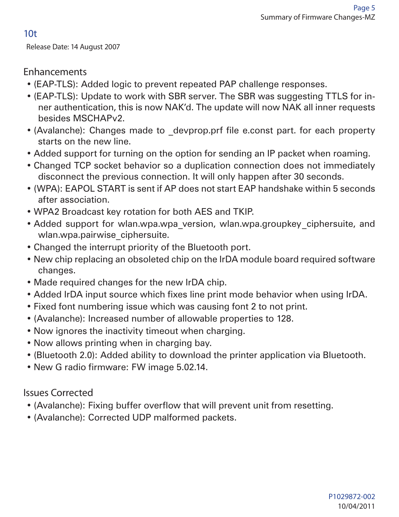#### 10t

Release Date: 14 August 2007

#### Enhancements

- (EAP-TLS): Added logic to prevent repeated PAP challenge responses.
- (EAP-TLS): Update to work with SBR server. The SBR was suggesting TTLS for inner authentication, this is now NAK'd. The update will now NAK all inner requests besides MSCHAPv2.
- (Avalanche): Changes made to \_devprop.prf file e.const part. for each property starts on the new line.
- Added support for turning on the option for sending an IP packet when roaming.
- Changed TCP socket behavior so a duplication connection does not immediately disconnect the previous connection. It will only happen after 30 seconds.
- (WPA): EAPOL START is sent if AP does not start EAP handshake within 5 seconds after association.
- WPA2 Broadcast key rotation for both AES and TKIP.
- Added support for wlan.wpa.wpa version, wlan.wpa.groupkey ciphersuite, and wlan.wpa.pairwise\_ciphersuite.
- Changed the interrupt priority of the Bluetooth port.
- New chip replacing an obsoleted chip on the IrDA module board required software changes.
- Made required changes for the new IrDA chip.
- Added IrDA input source which fixes line print mode behavior when using IrDA.
- Fixed font numbering issue which was causing font 2 to not print.
- (Avalanche): Increased number of allowable properties to 128.
- Now ignores the inactivity timeout when charging.
- Now allows printing when in charging bay.
- (Bluetooth 2.0): Added ability to download the printer application via Bluetooth.
- New G radio firmware: FW image 5.02.14.

Issues Corrected

- (Avalanche): Fixing buffer overflow that will prevent unit from resetting.
- (Avalanche): Corrected UDP malformed packets.